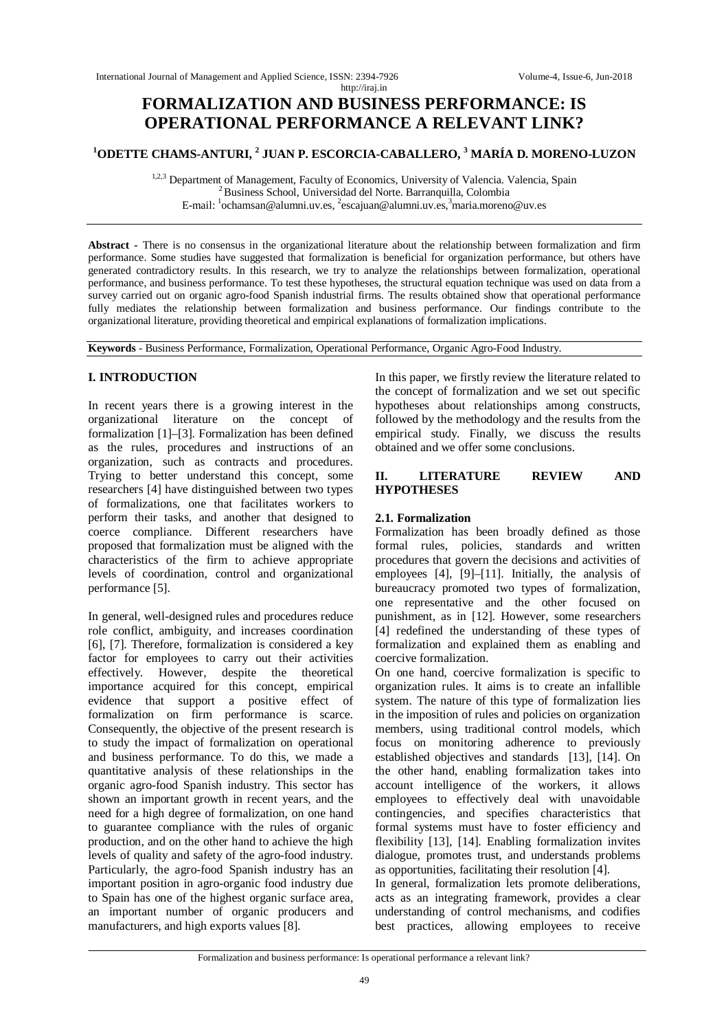# http://iraj.in **FORMALIZATION AND BUSINESS PERFORMANCE: IS OPERATIONAL PERFORMANCE A RELEVANT LINK?**

## **<sup>1</sup>ODETTE CHAMS-ANTURI, <sup>2</sup> JUAN P. ESCORCIA-CABALLERO, <sup>3</sup> MARÍA D. MORENO-LUZON**

<sup>1,2,3</sup> Department of Management, Faculty of Economics, University of Valencia. Valencia, Spain <sup>2</sup>Business School, Universidad del Norte. Barranquilla, Colombia E-mail: <sup>1</sup>ochamsan@alumni.uv.es, <sup>2</sup>escajuan@alumni.uv.es,<sup>3</sup>maria.moreno@uv.es

**Abstract -** There is no consensus in the organizational literature about the relationship between formalization and firm performance. Some studies have suggested that formalization is beneficial for organization performance, but others have generated contradictory results. In this research, we try to analyze the relationships between formalization, operational performance, and business performance. To test these hypotheses, the structural equation technique was used on data from a survey carried out on organic agro-food Spanish industrial firms. The results obtained show that operational performance fully mediates the relationship between formalization and business performance. Our findings contribute to the organizational literature, providing theoretical and empirical explanations of formalization implications.

**Keywords** - Business Performance, Formalization, Operational Performance, Organic Agro-Food Industry.

## **I. INTRODUCTION**

In recent years there is a growing interest in the organizational literature on the concept of formalization [1]–[3]. Formalization has been defined as the rules, procedures and instructions of an organization, such as contracts and procedures. Trying to better understand this concept, some researchers [4] have distinguished between two types of formalizations, one that facilitates workers to perform their tasks, and another that designed to coerce compliance. Different researchers have proposed that formalization must be aligned with the characteristics of the firm to achieve appropriate levels of coordination, control and organizational performance [5].

In general, well-designed rules and procedures reduce role conflict, ambiguity, and increases coordination [6], [7]. Therefore, formalization is considered a key factor for employees to carry out their activities effectively. However, despite the theoretical importance acquired for this concept, empirical evidence that support a positive effect of formalization on firm performance is scarce. Consequently, the objective of the present research is to study the impact of formalization on operational and business performance. To do this, we made a quantitative analysis of these relationships in the organic agro-food Spanish industry. This sector has shown an important growth in recent years, and the need for a high degree of formalization, on one hand to guarantee compliance with the rules of organic production, and on the other hand to achieve the high levels of quality and safety of the agro-food industry. Particularly, the agro-food Spanish industry has an important position in agro-organic food industry due to Spain has one of the highest organic surface area, an important number of organic producers and manufacturers, and high exports values [8].

In this paper, we firstly review the literature related to the concept of formalization and we set out specific hypotheses about relationships among constructs, followed by the methodology and the results from the empirical study. Finally, we discuss the results obtained and we offer some conclusions.

### **II. LITERATURE REVIEW AND HYPOTHESES**

### **2.1. Formalization**

Formalization has been broadly defined as those formal rules, policies, standards and written procedures that govern the decisions and activities of employees [4], [9]–[11]. Initially, the analysis of bureaucracy promoted two types of formalization, one representative and the other focused on punishment, as in [12]. However, some researchers [4] redefined the understanding of these types of formalization and explained them as enabling and coercive formalization.

On one hand, coercive formalization is specific to organization rules. It aims is to create an infallible system. The nature of this type of formalization lies in the imposition of rules and policies on organization members, using traditional control models, which focus on monitoring adherence to previously established objectives and standards [13], [14]. On the other hand, enabling formalization takes into account intelligence of the workers, it allows employees to effectively deal with unavoidable contingencies, and specifies characteristics that formal systems must have to foster efficiency and flexibility [13], [14]. Enabling formalization invites dialogue, promotes trust, and understands problems as opportunities, facilitating their resolution [4].

In general, formalization lets promote deliberations, acts as an integrating framework, provides a clear understanding of control mechanisms, and codifies best practices, allowing employees to receive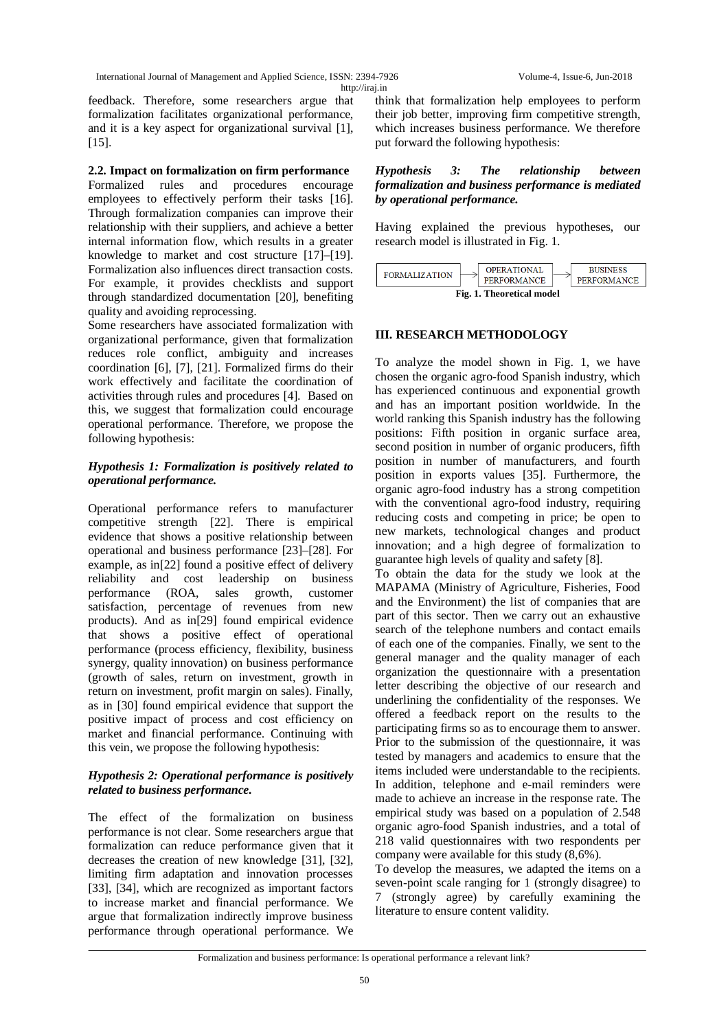International Journal of Management and Applied Science, ISSN: 2394-7926 Volume-4, Issue-6, Jun-2018 http://iraj.in

feedback. Therefore, some researchers argue that formalization facilitates organizational performance, and it is a key aspect for organizational survival [1], [15].

#### **2.2. Impact on formalization on firm performance**

Formalized rules and procedures encourage employees to effectively perform their tasks [16]. Through formalization companies can improve their relationship with their suppliers, and achieve a better internal information flow, which results in a greater knowledge to market and cost structure [17]–[19]. Formalization also influences direct transaction costs. For example, it provides checklists and support through standardized documentation [20], benefiting quality and avoiding reprocessing.

Some researchers have associated formalization with organizational performance, given that formalization reduces role conflict, ambiguity and increases coordination [6], [7], [21]. Formalized firms do their work effectively and facilitate the coordination of activities through rules and procedures [4]. Based on this, we suggest that formalization could encourage operational performance. Therefore, we propose the following hypothesis:

#### *Hypothesis 1: Formalization is positively related to operational performance.*

Operational performance refers to manufacturer competitive strength [22]. There is empirical evidence that shows a positive relationship between operational and business performance [23]–[28]. For example, as in[22] found a positive effect of delivery reliability and cost leadership on business performance (ROA, sales growth, customer satisfaction, percentage of revenues from new products). And as in[29] found empirical evidence that shows a positive effect of operational performance (process efficiency, flexibility, business synergy, quality innovation) on business performance (growth of sales, return on investment, growth in return on investment, profit margin on sales). Finally, as in [30] found empirical evidence that support the positive impact of process and cost efficiency on market and financial performance. Continuing with this vein, we propose the following hypothesis:

#### *Hypothesis 2: Operational performance is positively related to business performance.*

The effect of the formalization on business performance is not clear. Some researchers argue that formalization can reduce performance given that it decreases the creation of new knowledge [31], [32], limiting firm adaptation and innovation processes [33], [34], which are recognized as important factors to increase market and financial performance. We argue that formalization indirectly improve business performance through operational performance. We

think that formalization help employees to perform their job better, improving firm competitive strength, which increases business performance. We therefore put forward the following hypothesis:

#### *Hypothesis 3: The relationship between formalization and business performance is mediated by operational performance.*

Having explained the previous hypotheses, our research model is illustrated in Fig. 1.



### **III. RESEARCH METHODOLOGY**

To analyze the model shown in Fig. 1, we have chosen the organic agro-food Spanish industry, which has experienced continuous and exponential growth and has an important position worldwide. In the world ranking this Spanish industry has the following positions: Fifth position in organic surface area, second position in number of organic producers, fifth position in number of manufacturers, and fourth position in exports values [35]. Furthermore, the organic agro-food industry has a strong competition with the conventional agro-food industry, requiring reducing costs and competing in price; be open to new markets, technological changes and product innovation; and a high degree of formalization to guarantee high levels of quality and safety [8].

To obtain the data for the study we look at the MAPAMA (Ministry of Agriculture, Fisheries, Food and the Environment) the list of companies that are part of this sector. Then we carry out an exhaustive search of the telephone numbers and contact emails of each one of the companies. Finally, we sent to the general manager and the quality manager of each organization the questionnaire with a presentation letter describing the objective of our research and underlining the confidentiality of the responses. We offered a feedback report on the results to the participating firms so as to encourage them to answer. Prior to the submission of the questionnaire, it was tested by managers and academics to ensure that the items included were understandable to the recipients. In addition, telephone and e-mail reminders were made to achieve an increase in the response rate. The empirical study was based on a population of 2.548 organic agro-food Spanish industries, and a total of 218 valid questionnaires with two respondents per company were available for this study (8,6%).

To develop the measures, we adapted the items on a seven-point scale ranging for 1 (strongly disagree) to 7 (strongly agree) by carefully examining the literature to ensure content validity.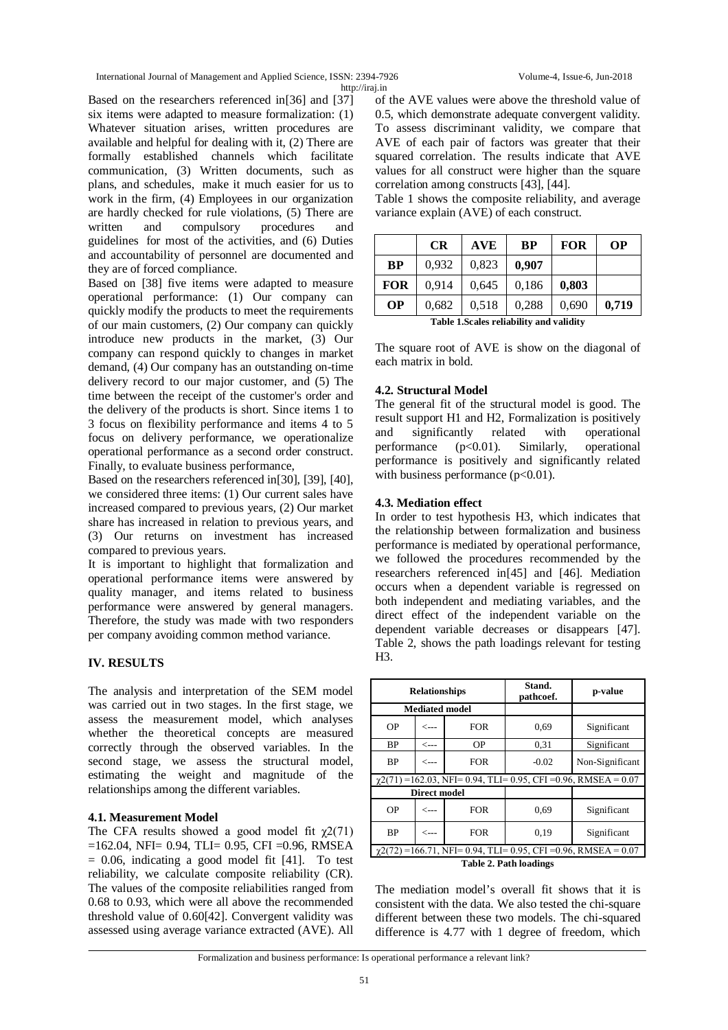International Journal of Management and Applied Science, ISSN: 2394-7926 Volume-4, Issue-6, Jun-2018 http://iraj.in

Based on the researchers referenced in[36] and [37] six items were adapted to measure formalization: (1) Whatever situation arises, written procedures are available and helpful for dealing with it, (2) There are formally established channels which facilitate communication, (3) Written documents, such as plans, and schedules, make it much easier for us to work in the firm, (4) Employees in our organization are hardly checked for rule violations, (5) There are written and compulsory procedures and guidelines for most of the activities, and (6) Duties and accountability of personnel are documented and they are of forced compliance.

Based on [38] five items were adapted to measure operational performance: (1) Our company can quickly modify the products to meet the requirements of our main customers, (2) Our company can quickly introduce new products in the market, (3) Our company can respond quickly to changes in market demand, (4) Our company has an outstanding on-time delivery record to our major customer, and (5) The time between the receipt of the customer's order and the delivery of the products is short. Since items 1 to 3 focus on flexibility performance and items 4 to 5 focus on delivery performance, we operationalize operational performance as a second order construct. Finally, to evaluate business performance,

Based on the researchers referenced in[30], [39], [40], we considered three items: (1) Our current sales have increased compared to previous years, (2) Our market share has increased in relation to previous years, and (3) Our returns on investment has increased compared to previous years.

It is important to highlight that formalization and operational performance items were answered by quality manager, and items related to business performance were answered by general managers. Therefore, the study was made with two responders per company avoiding common method variance.

### **IV. RESULTS**

The analysis and interpretation of the SEM model was carried out in two stages. In the first stage, we assess the measurement model, which analyses whether the theoretical concepts are measured correctly through the observed variables. In the second stage, we assess the structural model, estimating the weight and magnitude of the relationships among the different variables.

### **4.1. Measurement Model**

The CFA results showed a good model fit  $\chi$ 2(71)  $=162.04$ , NFI $= 0.94$ , TLI $= 0.95$ , CFI  $= 0.96$ , RMSEA  $= 0.06$ , indicating a good model fit [41]. To test reliability, we calculate composite reliability (CR). The values of the composite reliabilities ranged from 0.68 to 0.93, which were all above the recommended threshold value of 0.60[42]. Convergent validity was assessed using average variance extracted (AVE). All

of the AVE values were above the threshold value of 0.5, which demonstrate adequate convergent validity. To assess discriminant validity, we compare that AVE of each pair of factors was greater that their squared correlation. The results indicate that AVE values for all construct were higher than the square correlation among constructs [43], [44].

Table 1 shows the composite reliability, and average variance explain (AVE) of each construct.

|                                          | CR    | <b>AVE</b> | <b>BP</b> | <b>FOR</b> | <b>OP</b> |  |
|------------------------------------------|-------|------------|-----------|------------|-----------|--|
| <b>BP</b>                                | 0.932 | 0,823      | 0,907     |            |           |  |
| <b>FOR</b>                               | 0.914 | 0,645      | 0,186     | 0,803      |           |  |
| <b>OP</b>                                | 0.682 | 0,518      | 0.288     | 0,690      | 0,719     |  |
| Table 1. Scales reliability and validity |       |            |           |            |           |  |

The square root of AVE is show on the diagonal of each matrix in bold.

### **4.2. Structural Model**

The general fit of the structural model is good. The result support H1 and H2, Formalization is positively and significantly related with operational performance  $(p<0.01)$ . Similarly, operational performance is positively and significantly related with business performance  $(p<0.01)$ .

### **4.3. Mediation effect**

In order to test hypothesis H3, which indicates that the relationship between formalization and business performance is mediated by operational performance, we followed the procedures recommended by the researchers referenced in[45] and [46]. Mediation occurs when a dependent variable is regressed on both independent and mediating variables, and the direct effect of the independent variable on the dependent variable decreases or disappears [47]. Table 2, shows the path loadings relevant for testing H3.

|                                                                           | <b>Relationships</b>  |            | Stand.<br>pathcoef. | p-value         |  |  |  |
|---------------------------------------------------------------------------|-----------------------|------------|---------------------|-----------------|--|--|--|
|                                                                           | <b>Mediated model</b> |            |                     |                 |  |  |  |
| OΡ                                                                        | $\leftarrow$ ---      | <b>FOR</b> | 0.69                | Significant     |  |  |  |
| ВP                                                                        | <---                  | OΡ         | 0.31                | Significant     |  |  |  |
| ВP                                                                        | $\leftarrow$ ---      | FOR        | $-0.02$             | Non-Significant |  |  |  |
| $\gamma$ 2(71) = 162.03, NFI = 0.94, TLI = 0.95, CFI = 0.96, RMSEA = 0.07 |                       |            |                     |                 |  |  |  |
|                                                                           | <b>Direct model</b>   |            |                     |                 |  |  |  |
| OΡ                                                                        | $\leftarrow$ ---      | <b>FOR</b> | 0.69                | Significant     |  |  |  |
| ВP                                                                        | $\leftarrow -$        | FOR        | 0.19                | Significant     |  |  |  |
| $\gamma$ 2(72) = 166.71, NFI = 0.94, TLI = 0.95, CFI = 0.96, RMSEA = 0.07 |                       |            |                     |                 |  |  |  |
| <b>Table 2. Path loadings</b>                                             |                       |            |                     |                 |  |  |  |

The mediation model's overall fit shows that it is consistent with the data. We also tested the chi-square different between these two models. The chi-squared difference is 4.77 with 1 degree of freedom, which

Formalization and business performance: Is operational performance a relevant link?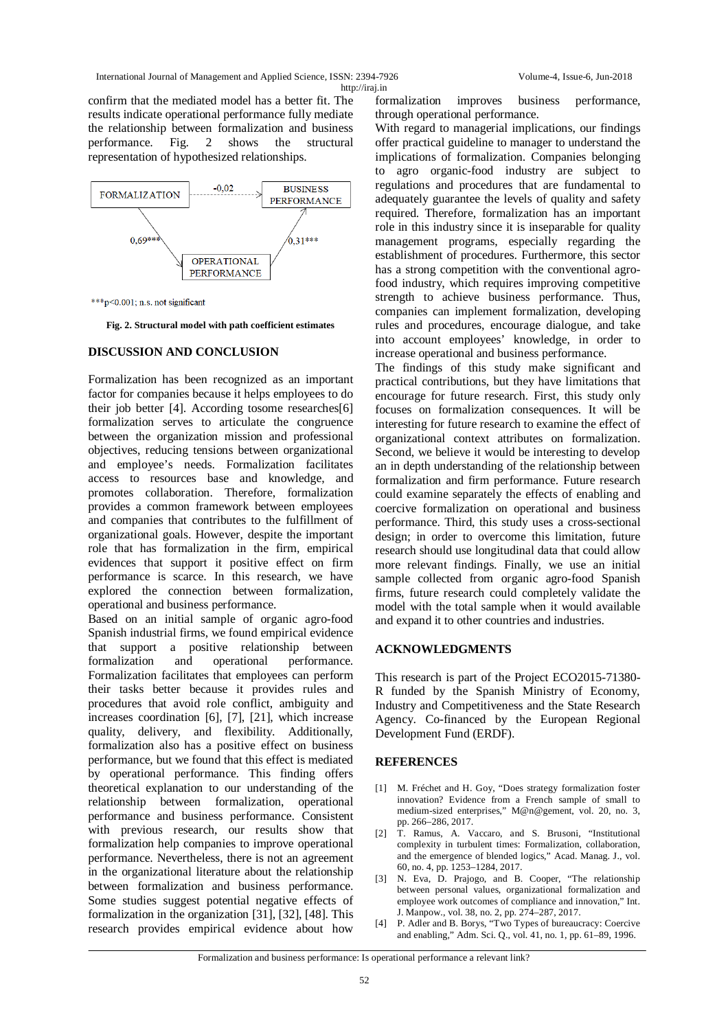confirm that the mediated model has a better fit. The results indicate operational performance fully mediate the relationship between formalization and business performance. Fig. 2 shows the structural representation of hypothesized relationships.



\*\*\*p<0.001; n.s. not significant

**Fig. 2. Structural model with path coefficient estimates**

#### **DISCUSSION AND CONCLUSION**

Formalization has been recognized as an important factor for companies because it helps employees to do their job better [4]. According tosome researches[6] formalization serves to articulate the congruence between the organization mission and professional objectives, reducing tensions between organizational and employee's needs. Formalization facilitates access to resources base and knowledge, and promotes collaboration. Therefore, formalization provides a common framework between employees and companies that contributes to the fulfillment of organizational goals. However, despite the important role that has formalization in the firm, empirical evidences that support it positive effect on firm performance is scarce. In this research, we have explored the connection between formalization, operational and business performance.

Based on an initial sample of organic agro-food Spanish industrial firms, we found empirical evidence that support a positive relationship between<br>formalization and operational performance. and operational performance. Formalization facilitates that employees can perform their tasks better because it provides rules and procedures that avoid role conflict, ambiguity and increases coordination [6], [7], [21], which increase quality, delivery, and flexibility. Additionally, formalization also has a positive effect on business performance, but we found that this effect is mediated by operational performance. This finding offers theoretical explanation to our understanding of the relationship between formalization, operational performance and business performance. Consistent with previous research, our results show that formalization help companies to improve operational performance. Nevertheless, there is not an agreement in the organizational literature about the relationship between formalization and business performance. Some studies suggest potential negative effects of formalization in the organization [31], [32], [48]. This research provides empirical evidence about how

formalization improves business performance, through operational performance.

With regard to managerial implications, our findings offer practical guideline to manager to understand the implications of formalization. Companies belonging to agro organic-food industry are subject to regulations and procedures that are fundamental to adequately guarantee the levels of quality and safety required. Therefore, formalization has an important role in this industry since it is inseparable for quality management programs, especially regarding the establishment of procedures. Furthermore, this sector has a strong competition with the conventional agrofood industry, which requires improving competitive strength to achieve business performance. Thus, companies can implement formalization, developing rules and procedures, encourage dialogue, and take into account employees' knowledge, in order to increase operational and business performance.

The findings of this study make significant and practical contributions, but they have limitations that encourage for future research. First, this study only focuses on formalization consequences. It will be interesting for future research to examine the effect of organizational context attributes on formalization. Second, we believe it would be interesting to develop an in depth understanding of the relationship between formalization and firm performance. Future research could examine separately the effects of enabling and coercive formalization on operational and business performance. Third, this study uses a cross-sectional design; in order to overcome this limitation, future research should use longitudinal data that could allow more relevant findings. Finally, we use an initial sample collected from organic agro-food Spanish firms, future research could completely validate the model with the total sample when it would available and expand it to other countries and industries.

#### **ACKNOWLEDGMENTS**

This research is part of the Project ECO2015-71380- R funded by the Spanish Ministry of Economy, Industry and Competitiveness and the State Research Agency. Co-financed by the European Regional Development Fund (ERDF).

#### **REFERENCES**

- [1] M. Fréchet and H. Goy, "Does strategy formalization foster innovation? Evidence from a French sample of small to medium-sized enterprises," M@n@gement, vol. 20, no. 3, pp. 266–286, 2017.
- [2] T. Ramus, A. Vaccaro, and S. Brusoni, "Institutional complexity in turbulent times: Formalization, collaboration, and the emergence of blended logics," Acad. Manag. J., vol. 60, no. 4, pp. 1253–1284, 2017.
- N. Eva, D. Prajogo, and B. Cooper, "The relationship between personal values, organizational formalization and employee work outcomes of compliance and innovation," Int. J. Manpow., vol. 38, no. 2, pp. 274–287, 2017.
- [4] P. Adler and B. Borys, "Two Types of bureaucracy: Coercive and enabling," Adm. Sci. Q., vol. 41, no. 1, pp. 61–89, 1996.